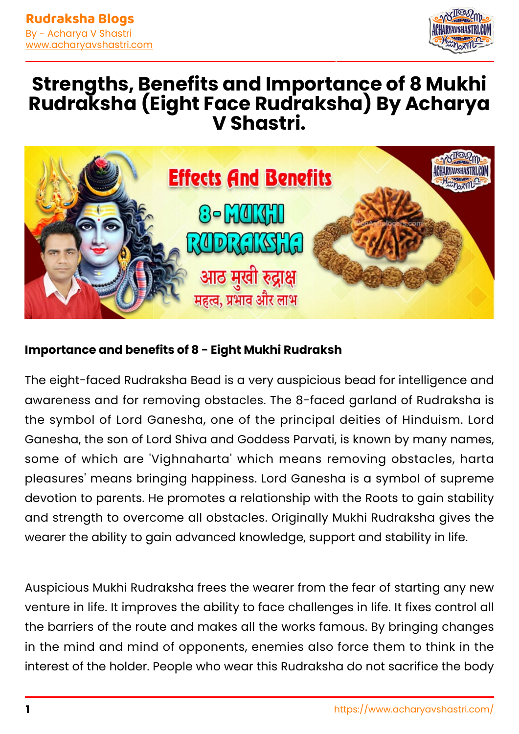

# **Strengths, Benefits and Importance of 8 Mukhi Rudraksha (Eight Face Rudraksha) By Acharya V Shastri.**



#### **Importance and benefits of 8 - Eight Mukhi Rudraksh**

The eight-faced Rudraksha Bead is a very auspicious bead for intelligence and awareness and for removing obstacles. The 8-faced garland of Rudraksha is the symbol of Lord Ganesha, one of the principal deities of Hinduism. Lord Ganesha, the son of Lord Shiva and Goddess Parvati, is known by many names, some of which are 'Vighnaharta' which means removing obstacles, harta pleasures' means bringing happiness. Lord Ganesha is a symbol of supreme devotion to parents. He promotes a relationship with the Roots to gain stability and strength to overcome all obstacles. Originally Mukhi Rudraksha gives the wearer the ability to gain advanced knowledge, support and stability in life.

Auspicious Mukhi Rudraksha frees the wearer from the fear of starting any new venture in life. It improves the ability to face challenges in life. It fixes control all the barriers of the route and makes all the works famous. By bringing changes in the mind and mind of opponents, enemies also force them to think in the interest of the holder. People who wear this Rudraksha do not sacrifice the body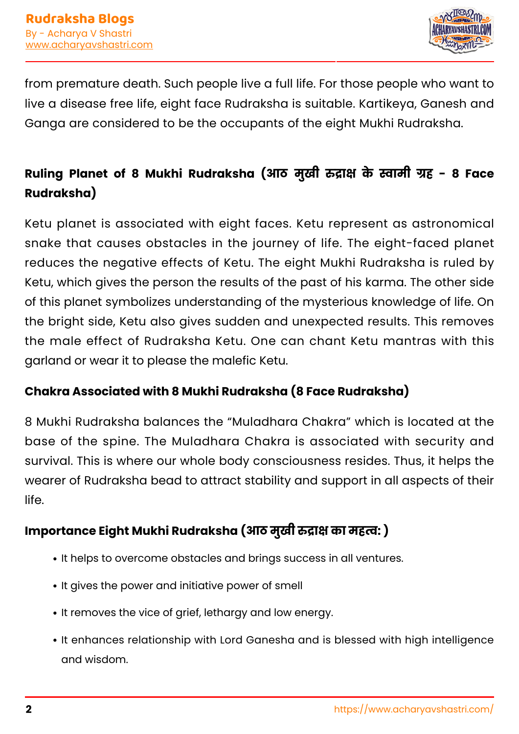

from premature death. Such people live a full life. For those people who want to live a disease free life, eight face Rudraksha is suitable. Kartikeya, Ganesh and Ganga are considered to be the occupants of the eight Mukhi Rudraksha.

## **Ruling Planet of 8 Mukhi Rudraksha (आठ मुखी ा के ामी ह - 8 Face Rudraksha)**

Ketu planet is associated with eight faces. Ketu represent as astronomical snake that causes obstacles in the journey of life. The eight-faced planet reduces the negative effects of Ketu. The eight Mukhi Rudraksha is ruled by Ketu, which gives the person the results of the past of his karma. The other side of this planet symbolizes understanding of the mysterious knowledge of life. On the bright side, Ketu also gives sudden and unexpected results. This removes the male effect of Rudraksha Ketu. One can chant Ketu mantras with this garland or wear it to please the malefic Ketu.

#### **Chakra Associated with 8 Mukhi Rudraksha (8 Face Rudraksha)**

8 Mukhi Rudraksha balances the "Muladhara Chakra" which is located at the base of the spine. The Muladhara Chakra is associated with security and survival. This is where our whole body consciousness resides. Thus, it helps the wearer of Rudraksha bead to attract stability and support in all aspects of their life. best famous as the Gurgaon, as the Gurgaon, as the Gurgaon, as the Gurgaon, as the Gurgaon, as the Gurgaon, as

### **Importance Eight Mukhi Rudraksha (आठ मुखी ा का मह: )**

- It helps to overcome obstacles and brings success in all ventures.
- It gives the power and initiative power of smell
- It removes the vice of grief, lethargy and low energy.
- It enhances relationship with Lord Ganesha and is blessed with high intelligence and wisdom.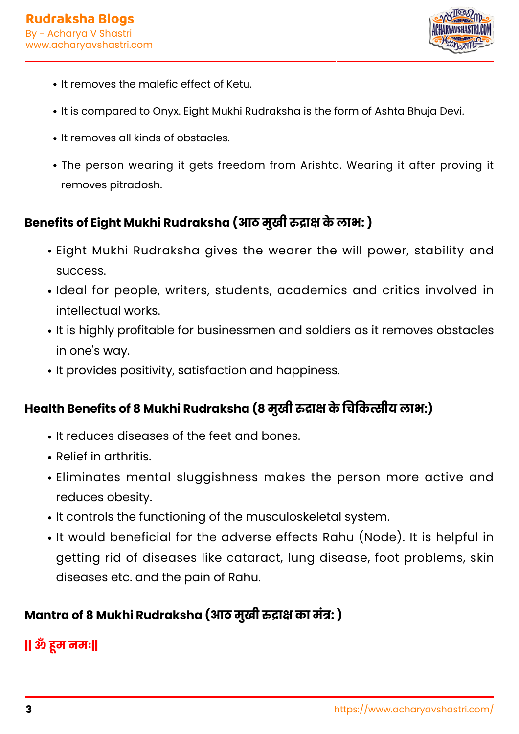

- It removes the malefic effect of Ketu.
- It is compared to Onyx. Eight Mukhi Rudraksha is the form of Ashta Bhuja Devi.
- It removes all kinds of obstacles.
- The person wearing it gets freedom from Arishta. Wearing it after proving it removes pitradosh.

### **Benefits of Eight Mukhi Rudraksha (आठ मुखी ा केलाभ: )**

- Eight Mukhi Rudraksha gives the wearer the will power, stability and success.
- $\cdot$  Ideal for people, writers, students, academics and critics involved in intellectual works.
- It is highly profitable for businessmen and soldiers as it removes obstacles in one's way.
- It provides positivity, satisfaction and happiness.

## **Health Benefits of 8 Mukhi Rudraksha (8 मुखी ा केचकीय लाभ:)**

- It reduces diseases of the feet and bones.
- $\cdot$  Relief in arthritis.
- Eliminates mental sluggishness makes the person more active and reduces obesity.
- $\cdot$  It controls the functioning of the musculoskeletal system.
- It would beneficial for the adverse effects Rahu (Node). It is helpful in getting rid of diseases like cataract, lung disease, foot problems, skin diseases etc. and the pain of Rahu.

## **Mantra of 8 Mukhi Rudraksha (आठ मुखी ा का मं: )**

## **|| ॐ म नमः||** best career astrologer in delhi,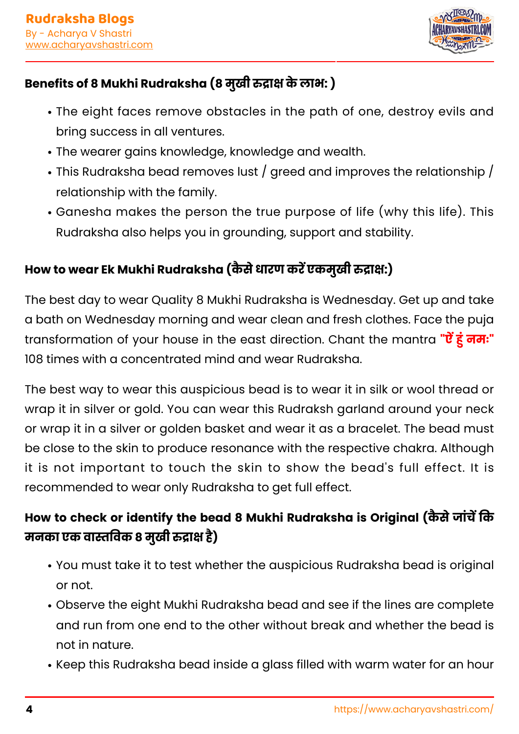

### **Benefits of 8 Mukhi Rudraksha (8 मुखी ा केलाभ: )**

- The eight faces remove obstacles in the path of one, destroy evils and bring success in all ventures.
- The wearer gains knowledge, knowledge and wealth.
- $\cdot$  This Rudraksha bead removes lust / greed and improves the relationship / relationship with the family.
- Ganesha makes the person the true purpose of life (why this life). This Rudraksha also helps you in grounding, support and stability.

### **How to wear Ek Mukhi Rudraksha (कै सेधारण करएकमुखी ा:)**

The best day to wear Quality 8 Mukhi Rudraksha is Wednesday. Get up and take a bath on Wednesday morning and wear clean and fresh clothes. Face the puja transformation of your house in the east direction. Chant the mantra **"ऐं हूं नमः"** 108 times with a concentrated mind and wear Rudraksha.

The best way to wear this auspicious bead is to wear it in silk or wool thread or wrap it in silver or gold. You can wear this Rudraksh garland around your neck or wrap it in a silver or golden basket and wear it as a bracelet. The bead must be close to the skin to produce resonance with the respective chakra. Although it is not important to touch the skin to show the bead's full effect. It is recommended to wear only Rudraksha to get full effect.

### **How to check or identify the bead 8 Mukhi Rudraksha is Original (कैसे जांचें कि मनका एक वावक 8 मुखी ा है)**

- You must take it to test whether the auspicious Rudraksha bead is original or not.
- Observe the eight Mukhi Rudraksha bead and see if the lines are complete and run from one end to the other without break and whether the bead is not in nature.
- Keep this Rudraksha bead inside a glass filled with warm water for an hour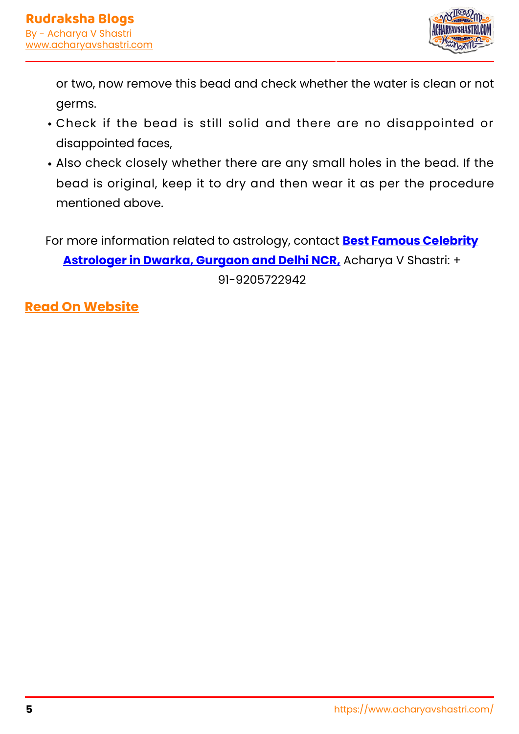

or two, now remove this bead and check whether the water is clean or not germs.

- Check if the bead is still solid and there are no disappointed or disappointed faces,
- Also check closely whether there are any small holes in the bead. If the bead is original, keep it to dry and then wear it as per the procedure mentioned above.

For more information related to astrology, contact **[Best Famous Celebrity](https://www.acharyavshastri.com/)**

**[Astrologer in Dwarka, Gurgaon and Delhi NCR,](https://www.acharyavshastri.com/)** Acharya V Shastri: +

91-9205722942

**[Read On Website](https://www.acharyavshastri.com/blog/8-eight-asth-mukhi-face-rudrakshas-acharyavshastri/)**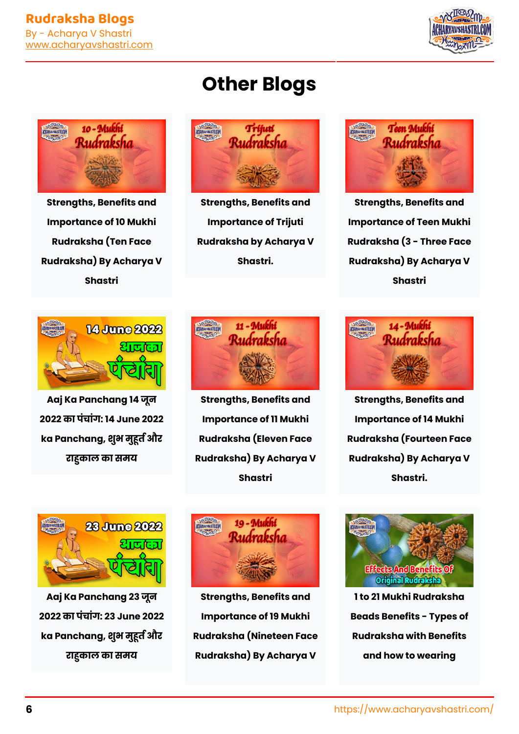



**[Strengths, Benefits and](https://www.acharyavshastri.com/blog/10-ten-dus-mukhi-face-rudrakshas-acharyavshastri/) [Importance of 10 Mukhi](https://www.acharyavshastri.com/blog/10-ten-dus-mukhi-face-rudrakshas-acharyavshastri/) [Rudraksha \(Ten Face](https://www.acharyavshastri.com/blog/10-ten-dus-mukhi-face-rudrakshas-acharyavshastri/) [Rudraksha\) By Acharya V](https://www.acharyavshastri.com/blog/10-ten-dus-mukhi-face-rudrakshas-acharyavshastri/) [Shastri](https://www.acharyavshastri.com/blog/10-ten-dus-mukhi-face-rudrakshas-acharyavshastri/)**





**[Strengths, Benefits and](https://www.acharyavshastri.com/blog/trijuti-rudraksha-acharyavshastri/) [Importance of Trijuti](https://www.acharyavshastri.com/blog/trijuti-rudraksha-acharyavshastri/) [Rudraksha by Acharya V](https://www.acharyavshastri.com/blog/trijuti-rudraksha-acharyavshastri/) [Shastri.](https://www.acharyavshastri.com/blog/trijuti-rudraksha-acharyavshastri/)**



**[Strengths, Benefits and](https://www.acharyavshastri.com/blog/3-three-teen-mukhi-rudrakshas-acharyavshastri/) [Importance of Teen Mukhi](https://www.acharyavshastri.com/blog/3-three-teen-mukhi-rudrakshas-acharyavshastri/) [Rudraksha \(3 - Three Face](https://www.acharyavshastri.com/blog/3-three-teen-mukhi-rudrakshas-acharyavshastri/) [Rudraksha\) By Acharya V](https://www.acharyavshastri.com/blog/3-three-teen-mukhi-rudrakshas-acharyavshastri/) [Shastri](https://www.acharyavshastri.com/blog/3-three-teen-mukhi-rudrakshas-acharyavshastri/)**



**[Aaj Ka Panchang 14 जून](https://www.acharyavshastri.com/blog/panchang-todays-hindi-today-panchang-14-june-2022-aaj-ka-panchang-shubh-samay/) [2022 का पंचांग: 14 June 2022](https://www.acharyavshastri.com/blog/panchang-todays-hindi-today-panchang-14-june-2022-aaj-ka-panchang-shubh-samay/)** ka Panchang, शुभ मुहूर्त और **[राकाल का समय](https://www.acharyavshastri.com/blog/panchang-todays-hindi-today-panchang-14-june-2022-aaj-ka-panchang-shubh-samay/)**



**[Strengths, Benefits and](https://www.acharyavshastri.com/blog/11-eleven-gyara-mukhi-face-rudrakshas-acharyavshastri/) [Importance of 11 Mukhi](https://www.acharyavshastri.com/blog/11-eleven-gyara-mukhi-face-rudrakshas-acharyavshastri/) [Rudraksha \(Eleven Face](https://www.acharyavshastri.com/blog/11-eleven-gyara-mukhi-face-rudrakshas-acharyavshastri/) [Rudraksha\) By Acharya V](https://www.acharyavshastri.com/blog/11-eleven-gyara-mukhi-face-rudrakshas-acharyavshastri/) [Shastri](https://www.acharyavshastri.com/blog/11-eleven-gyara-mukhi-face-rudrakshas-acharyavshastri/)**



**[Strengths, Benefits and](https://www.acharyavshastri.com/blog/14-fourteen-chodah-mukhi-face-rudrakshas-acharyavshastri/) [Importance of 14 Mukhi](https://www.acharyavshastri.com/blog/14-fourteen-chodah-mukhi-face-rudrakshas-acharyavshastri/) [Rudraksha \(Fourteen Face](https://www.acharyavshastri.com/blog/14-fourteen-chodah-mukhi-face-rudrakshas-acharyavshastri/) [Rudraksha\) By Acharya V](https://www.acharyavshastri.com/blog/14-fourteen-chodah-mukhi-face-rudrakshas-acharyavshastri/) [Shastri.](https://www.acharyavshastri.com/blog/14-fourteen-chodah-mukhi-face-rudrakshas-acharyavshastri/)**



**[Aaj Ka Panchang 23 जून](https://www.acharyavshastri.com/blog/panchang-todays-hindi-today-panchang-23-june-2022-aaj-ka-panchang-shubh-samay/) [2022 का पंचांग: 23 June 2022](https://www.acharyavshastri.com/blog/panchang-todays-hindi-today-panchang-23-june-2022-aaj-ka-panchang-shubh-samay/) [ka Panchang, शुभ मुत और](https://www.acharyavshastri.com/blog/panchang-todays-hindi-today-panchang-23-june-2022-aaj-ka-panchang-shubh-samay/) [राकाल का समय](https://www.acharyavshastri.com/blog/panchang-todays-hindi-today-panchang-23-june-2022-aaj-ka-panchang-shubh-samay/)**



**[Strengths, Benefits and](https://www.acharyavshastri.com/blog/19-nineteen-mukhi-face-rudrakshas-acharyavshastri/) [Importance of 19 Mukhi](https://www.acharyavshastri.com/blog/19-nineteen-mukhi-face-rudrakshas-acharyavshastri/) [Rudraksha \(Nineteen Face](https://www.acharyavshastri.com/blog/19-nineteen-mukhi-face-rudrakshas-acharyavshastri/) [Rudraksha\) By Acharya V](https://www.acharyavshastri.com/blog/19-nineteen-mukhi-face-rudrakshas-acharyavshastri/)**



**[1 to 21 Mukhi Rudraksha](https://www.acharyavshastri.com/blog/rudrakshas-1-to-21-benefits-original-acharyavshastri/) [Beads Benefits - Types of](https://www.acharyavshastri.com/blog/rudrakshas-1-to-21-benefits-original-acharyavshastri/) [Rudraksha with Benefits](https://www.acharyavshastri.com/blog/rudrakshas-1-to-21-benefits-original-acharyavshastri/) [and how to wearing](https://www.acharyavshastri.com/blog/rudrakshas-1-to-21-benefits-original-acharyavshastri/)**